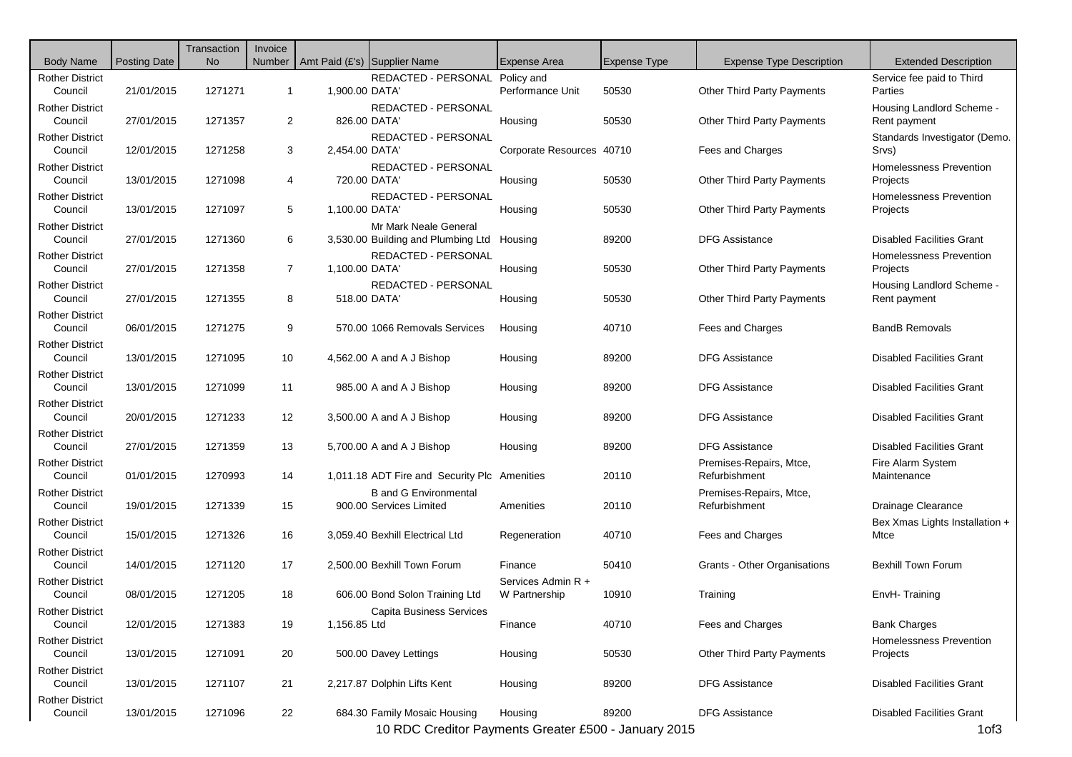| <b>Body Name</b>                  | <b>Posting Date</b> | Transaction<br><b>No</b> | Invoice        | Number   Amt Paid (£'s)   Supplier Name |                                                             | Expense Area                        | <b>Expense Type</b> | <b>Expense Type Description</b>          | <b>Extended Description</b>                |
|-----------------------------------|---------------------|--------------------------|----------------|-----------------------------------------|-------------------------------------------------------------|-------------------------------------|---------------------|------------------------------------------|--------------------------------------------|
| <b>Rother District</b><br>Council | 21/01/2015          | 1271271                  | $\mathbf{1}$   | 1,900.00 DATA'                          | REDACTED - PERSONAL                                         | Policy and<br>Performance Unit      | 50530               | <b>Other Third Party Payments</b>        | Service fee paid to Third<br>Parties       |
| <b>Rother District</b><br>Council | 27/01/2015          | 1271357                  | $\overline{2}$ | 826.00 DATA'                            | REDACTED - PERSONAL                                         | Housing                             | 50530               | <b>Other Third Party Payments</b>        | Housing Landlord Scheme -<br>Rent payment  |
| <b>Rother District</b><br>Council | 12/01/2015          | 1271258                  | 3              | 2,454.00 DATA'                          | REDACTED - PERSONAL                                         | Corporate Resources 40710           |                     | Fees and Charges                         | Standards Investigator (Demo.<br>Srvs)     |
| <b>Rother District</b><br>Council | 13/01/2015          | 1271098                  | 4              | 720.00 DATA'                            | REDACTED - PERSONAL                                         | Housing                             | 50530               | <b>Other Third Party Payments</b>        | Homelessness Prevention<br>Projects        |
| <b>Rother District</b><br>Council | 13/01/2015          | 1271097                  | 5              | 1,100.00 DATA                           | REDACTED - PERSONAL                                         | Housing                             | 50530               | <b>Other Third Party Payments</b>        | <b>Homelessness Prevention</b><br>Projects |
| <b>Rother District</b><br>Council | 27/01/2015          | 1271360                  | 6              |                                         | Mr Mark Neale General<br>3,530.00 Building and Plumbing Ltd | Housing                             | 89200               | <b>DFG Assistance</b>                    | <b>Disabled Facilities Grant</b>           |
| <b>Rother District</b><br>Council | 27/01/2015          | 1271358                  | $\overline{7}$ | 1,100.00 DATA                           | REDACTED - PERSONAL                                         | Housing                             | 50530               | Other Third Party Payments               | <b>Homelessness Prevention</b><br>Projects |
| <b>Rother District</b><br>Council | 27/01/2015          | 1271355                  | 8              | 518.00 DATA'                            | REDACTED - PERSONAL                                         | Housing                             | 50530               | Other Third Party Payments               | Housing Landlord Scheme -<br>Rent payment  |
| <b>Rother District</b><br>Council | 06/01/2015          | 1271275                  | 9              |                                         | 570.00 1066 Removals Services                               | Housing                             | 40710               | Fees and Charges                         | <b>BandB Removals</b>                      |
| <b>Rother District</b><br>Council | 13/01/2015          | 1271095                  | 10             |                                         | 4,562.00 A and A J Bishop                                   | Housing                             | 89200               | DFG Assistance                           | <b>Disabled Facilities Grant</b>           |
| <b>Rother District</b><br>Council | 13/01/2015          | 1271099                  | 11             |                                         | 985.00 A and A J Bishop                                     | Housing                             | 89200               | <b>DFG Assistance</b>                    | <b>Disabled Facilities Grant</b>           |
| <b>Rother District</b><br>Council | 20/01/2015          | 1271233                  | 12             |                                         | 3,500.00 A and A J Bishop                                   | Housing                             | 89200               | <b>DFG Assistance</b>                    | <b>Disabled Facilities Grant</b>           |
| <b>Rother District</b><br>Council | 27/01/2015          | 1271359                  | 13             |                                         | 5,700.00 A and A J Bishop                                   | Housing                             | 89200               | <b>DFG Assistance</b>                    | <b>Disabled Facilities Grant</b>           |
| <b>Rother District</b><br>Council | 01/01/2015          | 1270993                  | 14             |                                         | 1,011.18 ADT Fire and Security Plc Amenities                |                                     | 20110               | Premises-Repairs, Mtce,<br>Refurbishment | Fire Alarm System<br>Maintenance           |
| <b>Rother District</b><br>Council | 19/01/2015          | 1271339                  | 15             |                                         | <b>B</b> and G Environmental<br>900.00 Services Limited     | Amenities                           | 20110               | Premises-Repairs, Mtce,<br>Refurbishment | Drainage Clearance                         |
| <b>Rother District</b><br>Council | 15/01/2015          | 1271326                  | 16             |                                         | 3,059.40 Bexhill Electrical Ltd                             | Regeneration                        | 40710               | Fees and Charges                         | Bex Xmas Lights Installation +<br>Mtce     |
| <b>Rother District</b><br>Council | 14/01/2015          | 1271120                  | 17             |                                         | 2,500.00 Bexhill Town Forum                                 | Finance                             | 50410               | Grants - Other Organisations             | <b>Bexhill Town Forum</b>                  |
| <b>Rother District</b><br>Council | 08/01/2015          | 1271205                  | 18             |                                         | 606.00 Bond Solon Training Ltd                              | Services Admin R +<br>W Partnership | 10910               | Training                                 | EnvH-Training                              |
| Rother District<br>Council        | 12/01/2015          | 1271383                  | 19             | 1,156.85 Ltd                            | Capita Business Services                                    | Finance                             | 40710               | Fees and Charges                         | <b>Bank Charges</b>                        |
| <b>Rother District</b><br>Council | 13/01/2015          | 1271091                  | 20             |                                         | 500.00 Davey Lettings                                       | Housing                             | 50530               | <b>Other Third Party Payments</b>        | <b>Homelessness Prevention</b><br>Projects |
| <b>Rother District</b><br>Council | 13/01/2015          | 1271107                  | 21             |                                         | 2,217.87 Dolphin Lifts Kent                                 | Housing                             | 89200               | <b>DFG Assistance</b>                    | <b>Disabled Facilities Grant</b>           |
| <b>Rother District</b><br>Council | 13/01/2015          | 1271096                  | 22             |                                         | 684.30 Family Mosaic Housing                                | Housing                             | 89200               | <b>DFG Assistance</b>                    | <b>Disabled Facilities Grant</b>           |

10 RDC Creditor Payments Greater £500 - January 2015 1073 1073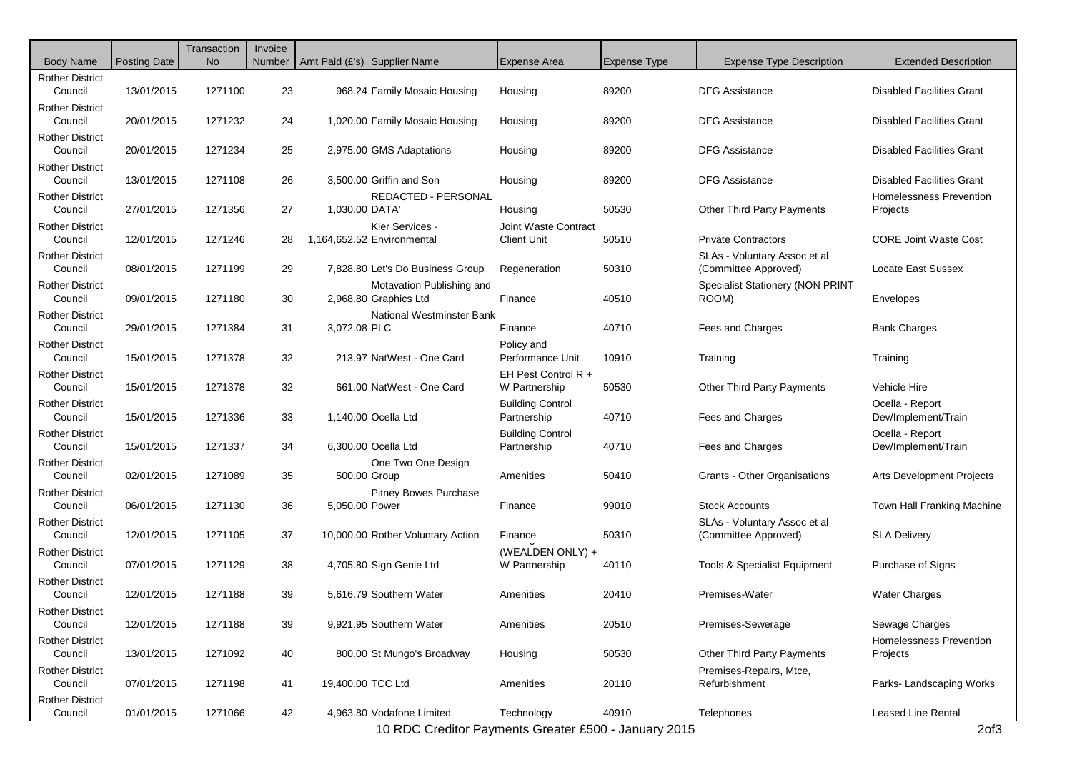| <b>Body Name</b>                  | <b>Posting Date</b> | Transaction<br><b>No</b> | Invoice | Number   Amt Paid (£'s)   Supplier Name |                                                    | Expense Area                               | <b>Expense Type</b> | <b>Expense Type Description</b>                      | <b>Extended Description</b>                |
|-----------------------------------|---------------------|--------------------------|---------|-----------------------------------------|----------------------------------------------------|--------------------------------------------|---------------------|------------------------------------------------------|--------------------------------------------|
| <b>Rother District</b><br>Council | 13/01/2015          | 1271100                  | 23      |                                         | 968.24 Family Mosaic Housing                       | Housing                                    | 89200               | <b>DFG Assistance</b>                                | <b>Disabled Facilities Grant</b>           |
| <b>Rother District</b><br>Council | 20/01/2015          | 1271232                  | 24      |                                         | 1,020.00 Family Mosaic Housing                     | Housing                                    | 89200               | <b>DFG Assistance</b>                                | <b>Disabled Facilities Grant</b>           |
| <b>Rother District</b><br>Council | 20/01/2015          | 1271234                  | 25      |                                         | 2,975.00 GMS Adaptations                           | Housing                                    | 89200               | <b>DFG Assistance</b>                                | <b>Disabled Facilities Grant</b>           |
| <b>Rother District</b><br>Council | 13/01/2015          | 1271108                  | 26      |                                         | 3,500.00 Griffin and Son                           | Housing                                    | 89200               | <b>DFG Assistance</b>                                | <b>Disabled Facilities Grant</b>           |
| <b>Rother District</b><br>Council | 27/01/2015          | 1271356                  | 27      | 1.030.00 DATA'                          | <b>REDACTED - PERSONAL</b>                         | Housing                                    | 50530               | <b>Other Third Party Payments</b>                    | <b>Homelessness Prevention</b><br>Projects |
| <b>Rother District</b><br>Council | 12/01/2015          | 1271246                  | 28      |                                         | Kier Services -<br>1,164,652.52 Environmental      | Joint Waste Contract<br><b>Client Unit</b> | 50510               | <b>Private Contractors</b>                           | <b>CORE Joint Waste Cost</b>               |
| <b>Rother District</b><br>Council | 08/01/2015          | 1271199                  | 29      |                                         | 7,828.80 Let's Do Business Group                   | Regeneration                               | 50310               | SLAs - Voluntary Assoc et al<br>(Committee Approved) | Locate East Sussex                         |
| <b>Rother District</b><br>Council | 09/01/2015          | 1271180                  | 30      |                                         | Motavation Publishing and<br>2,968.80 Graphics Ltd | Finance                                    | 40510               | <b>Specialist Stationery (NON PRINT</b><br>ROOM)     | Envelopes                                  |
| <b>Rother District</b><br>Council | 29/01/2015          | 1271384                  | 31      | 3,072.08 PLC                            | <b>National Westminster Bank</b>                   | Finance                                    | 40710               | Fees and Charges                                     | <b>Bank Charges</b>                        |
| <b>Rother District</b><br>Council | 15/01/2015          | 1271378                  | 32      |                                         | 213.97 NatWest - One Card                          | Policy and<br>Performance Unit             | 10910               | Training                                             | Training                                   |
| <b>Rother District</b><br>Council | 15/01/2015          | 1271378                  | 32      |                                         | 661.00 NatWest - One Card                          | EH Pest Control R +<br>W Partnership       | 50530               | Other Third Party Payments                           | Vehicle Hire                               |
| <b>Rother District</b><br>Council | 15/01/2015          | 1271336                  | 33      |                                         | 1,140.00 Ocella Ltd                                | <b>Building Control</b><br>Partnership     | 40710               | Fees and Charges                                     | Ocella - Report<br>Dev/Implement/Train     |
| <b>Rother District</b><br>Council | 15/01/2015          | 1271337                  | 34      |                                         | 6,300.00 Ocella Ltd                                | <b>Building Control</b><br>Partnership     | 40710               | Fees and Charges                                     | Ocella - Report<br>Dev/Implement/Train     |
| <b>Rother District</b><br>Council | 02/01/2015          | 1271089                  | 35      | 500.00 Group                            | One Two One Design                                 | Amenities                                  | 50410               | Grants - Other Organisations                         | <b>Arts Development Projects</b>           |
| <b>Rother District</b><br>Council | 06/01/2015          | 1271130                  | 36      | 5,050.00 Power                          | <b>Pitney Bowes Purchase</b>                       | Finance                                    | 99010               | <b>Stock Accounts</b>                                | Town Hall Franking Machine                 |
| <b>Rother District</b><br>Council | 12/01/2015          | 1271105                  | 37      |                                         | 10,000.00 Rother Voluntary Action                  | Finance                                    | 50310               | SLAs - Voluntary Assoc et al<br>(Committee Approved) | <b>SLA Delivery</b>                        |
| <b>Rother District</b><br>Council | 07/01/2015          | 1271129                  | 38      |                                         | 4,705.80 Sign Genie Ltd                            | (WEALDEN ONLY) +<br>W Partnership          | 40110               | <b>Tools &amp; Specialist Equipment</b>              | Purchase of Signs                          |
| <b>Rother District</b><br>Council | 12/01/2015          | 1271188                  | 39      |                                         | 5,616.79 Southern Water                            | Amenities                                  | 20410               | Premises-Water                                       | <b>Water Charges</b>                       |
| Rother District<br>Council        | 12/01/2015          | 1271188                  | 39      |                                         | 9,921.95 Southern Water                            | Amenities                                  | 20510               | Premises-Sewerage                                    | Sewage Charges                             |
| <b>Rother District</b><br>Council | 13/01/2015          | 1271092                  | 40      |                                         | 800.00 St Mungo's Broadway                         | Housing                                    | 50530               | <b>Other Third Party Payments</b>                    | Homelessness Prevention<br>Projects        |
| <b>Rother District</b><br>Council | 07/01/2015          | 1271198                  | 41      | 19,400.00 TCC Ltd                       |                                                    | Amenities                                  | 20110               | Premises-Repairs, Mtce,<br>Refurbishment             | Parks-Landscaping Works                    |
| <b>Rother District</b><br>Council | 01/01/2015          | 1271066                  | 42      |                                         | 4,963.80 Vodafone Limited                          | Technology                                 | 40910               | Telephones                                           | Leased Line Rental                         |

10 RDC Creditor Payments Greater £500 - January 2015 2of3